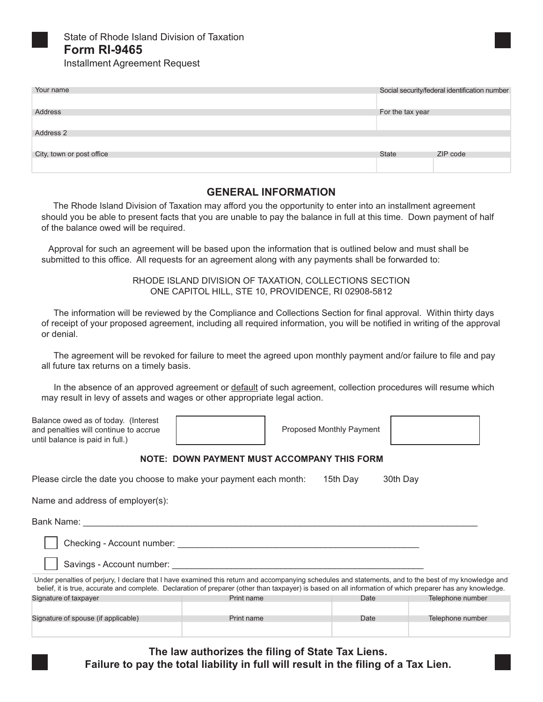

State of Rhode Island Division of Taxation **Form RI-9465** 

**Installment Agreement Request** 

| Your name                 |                  | Social security/federal identification number |
|---------------------------|------------------|-----------------------------------------------|
|                           |                  |                                               |
|                           |                  |                                               |
| Address                   | For the tax year |                                               |
|                           |                  |                                               |
|                           |                  |                                               |
| Address 2                 |                  |                                               |
|                           |                  |                                               |
|                           |                  |                                               |
| City, town or post office | <b>State</b>     | ZIP code                                      |
|                           |                  |                                               |
|                           |                  |                                               |

## **GENERAL INFORMATION**

The Rhode Island Division of Taxation may afford you the opportunity to enter into an installment agreement should you be able to present facts that you are unable to pay the balance in full at this time. Down payment of half of the balance owed will be required.

 Approval for such an agreement will be based upon the information that is outlined below and must shall be submitted to this office. All requests for an agreement along with any payments shall be forwarded to:

> RHODE ISLAND DIVISION OF TAXATION, COLLECTIONS SECTION ONE CAPITOL HILL, STE 10, PROVIDENCE, RI 02908-5812

 The information will be reviewed by the Compliance and Collections Section for final approval. Within thirty days of receipt of your proposed agreement, including all required information, you will be notified in writing of the approval or denial.

 The agreement will be revoked for failure to meet the agreed upon monthly payment and/or failure to file and pay all future tax returns on a timely basis.

 In the absence of an approved agreement or default of such agreement, collection procedures will resume which may result in levy of assets and wages or other appropriate legal action.

Balance owed as of today. (Interest and penalties will continue to accrue until balance is paid in full.)

Proposed Monthly Payment

## **NOTE: DOWN PAYMENT MUST ACCOMPANY THIS FORM**

Please circle the date you choose to make your payment each month: 15th Day 30th Day

Name and address of employer(s):

Bank Name: \_\_\_\_\_\_\_\_\_\_\_\_\_\_\_\_\_\_\_\_\_\_\_\_\_\_\_\_\_\_\_\_\_\_\_\_\_\_\_\_\_\_\_\_\_\_\_\_\_\_\_\_\_\_\_\_\_\_\_\_\_\_\_\_\_\_\_\_\_\_\_\_\_\_\_\_\_\_\_\_

Checking - Account number:  $\Box$ 

Savings - Account number: \_\_\_\_\_\_\_\_\_\_\_\_\_\_\_\_\_\_\_\_\_\_\_\_\_\_\_\_\_\_\_\_\_\_\_\_\_\_\_\_\_\_\_\_\_\_\_\_\_\_\_

| Under penalties of perjury, I declare that I have examined this return and accompanying schedules and statements, and to the best of my knowledge and<br>belief, it is true, accurate and complete. Declaration of preparer (other than taxpayer) is based on all information of which preparer has any knowledge. |            |      |                  |  |  |
|--------------------------------------------------------------------------------------------------------------------------------------------------------------------------------------------------------------------------------------------------------------------------------------------------------------------|------------|------|------------------|--|--|
| Signature of taxpayer                                                                                                                                                                                                                                                                                              | Print name | Date | Telephone number |  |  |
|                                                                                                                                                                                                                                                                                                                    |            |      |                  |  |  |
| Signature of spouse (if applicable)                                                                                                                                                                                                                                                                                | Print name | Date | Telephone number |  |  |
|                                                                                                                                                                                                                                                                                                                    |            |      |                  |  |  |

**The law authorizes the filing of State Tax Liens.**<br>Failure to pay the total liability in full will result in the filing of a Tax Lien. **Failure to pay the total liability in full will result in the filing of a Tax Lien.**